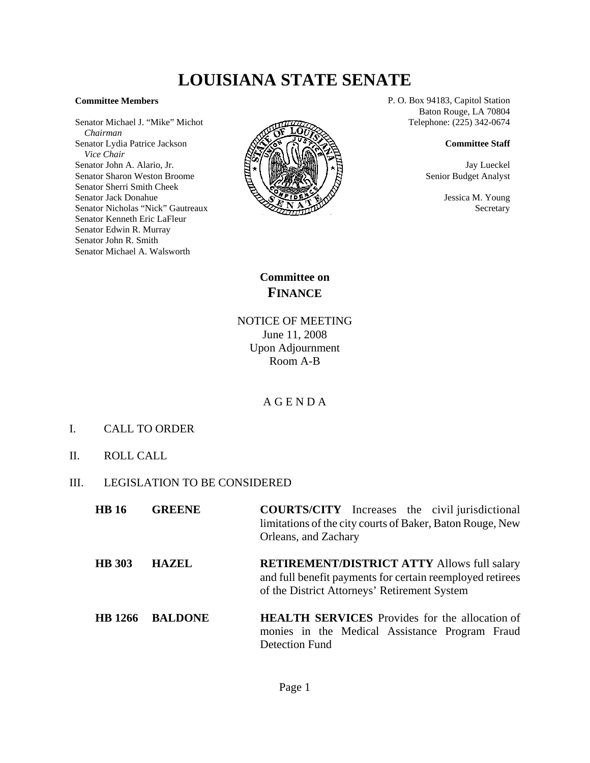# **LOUISIANA STATE SENATE**

#### **Committee Members**

Senator Michael J. "Mike" Michot  *Chairman* Senator Lydia Patrice Jackson  *Vice Chair* Senator John A. Alario, Jr. Senator Sharon Weston Broome Senator Sherri Smith Cheek Senator Jack Donahue Senator Nicholas "Nick" Gautreaux Senator Kenneth Eric LaFleur Senator Edwin R. Murray Senator John R. Smith Senator Michael A. Walsworth



P. O. Box 94183, Capitol Station Baton Rouge, LA 70804 Telephone: (225) 342-0674

### **Committee Staff**

Jay Lueckel Senior Budget Analyst

> Jessica M. Young **Secretary**

**Committee on FINANCE**

NOTICE OF MEETING June 11, 2008 Upon Adjournment Room A-B

## A G E N D A

- I. CALL TO ORDER
- II. ROLL CALL
- III. LEGISLATION TO BE CONSIDERED

| <b>HB</b> 16  | <b>GREENE</b>  | <b>COURTS/CITY</b> Increases the civil jurisdictional<br>limitations of the city courts of Baker, Baton Rouge, New<br>Orleans, and Zachary                      |
|---------------|----------------|-----------------------------------------------------------------------------------------------------------------------------------------------------------------|
| <b>HB</b> 303 | <b>HAZEL</b>   | <b>RETIREMENT/DISTRICT ATTY Allows full salary</b><br>and full benefit payments for certain reemployed retirees<br>of the District Attorneys' Retirement System |
| HR 1266       | <b>RALDONE</b> | <b>HEALTH SERVICES</b> Provides for the allocation of                                                                                                           |